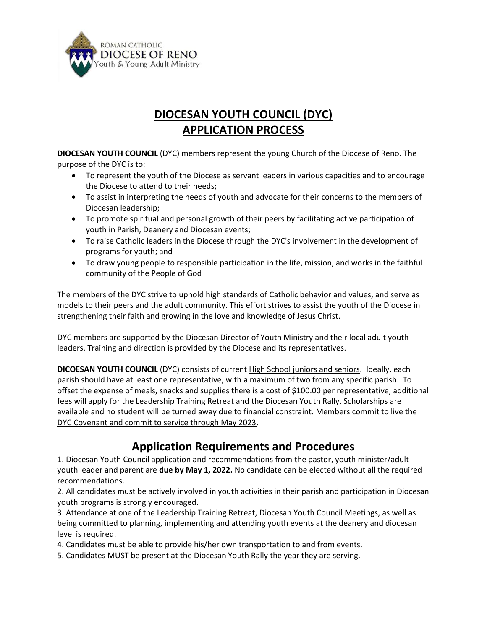

# **DIOCESAN YOUTH COUNCIL (DYC) APPLICATION PROCESS**

**DIOCESAN YOUTH COUNCIL** (DYC) members represent the young Church of the Diocese of Reno. The purpose of the DYC is to:

- To represent the youth of the Diocese as servant leaders in various capacities and to encourage the Diocese to attend to their needs;
- To assist in interpreting the needs of youth and advocate for their concerns to the members of Diocesan leadership;
- To promote spiritual and personal growth of their peers by facilitating active participation of youth in Parish, Deanery and Diocesan events;
- To raise Catholic leaders in the Diocese through the DYC's involvement in the development of programs for youth; and
- To draw young people to responsible participation in the life, mission, and works in the faithful community of the People of God

The members of the DYC strive to uphold high standards of Catholic behavior and values, and serve as models to their peers and the adult community. This effort strives to assist the youth of the Diocese in strengthening their faith and growing in the love and knowledge of Jesus Christ.

DYC members are supported by the Diocesan Director of Youth Ministry and their local adult youth leaders. Training and direction is provided by the Diocese and its representatives.

**DICOESAN YOUTH COUNCIL** (DYC) consists of current High School juniors and seniors. Ideally, each parish should have at least one representative, with a maximum of two from any specific parish. To offset the expense of meals, snacks and supplies there is a cost of \$100.00 per representative, additional fees will apply for the Leadership Training Retreat and the Diocesan Youth Rally. Scholarships are available and no student will be turned away due to financial constraint. Members commit to live the DYC Covenant and commit to service through May 2023.

## **Application Requirements and Procedures**

1. Diocesan Youth Council application and recommendations from the pastor, youth minister/adult youth leader and parent are **due by May 1, 2022.** No candidate can be elected without all the required recommendations.

2. All candidates must be actively involved in youth activities in their parish and participation in Diocesan youth programs is strongly encouraged.

3. Attendance at one of the Leadership Training Retreat, Diocesan Youth Council Meetings, as well as being committed to planning, implementing and attending youth events at the deanery and diocesan level is required.

4. Candidates must be able to provide his/her own transportation to and from events.

5. Candidates MUST be present at the Diocesan Youth Rally the year they are serving.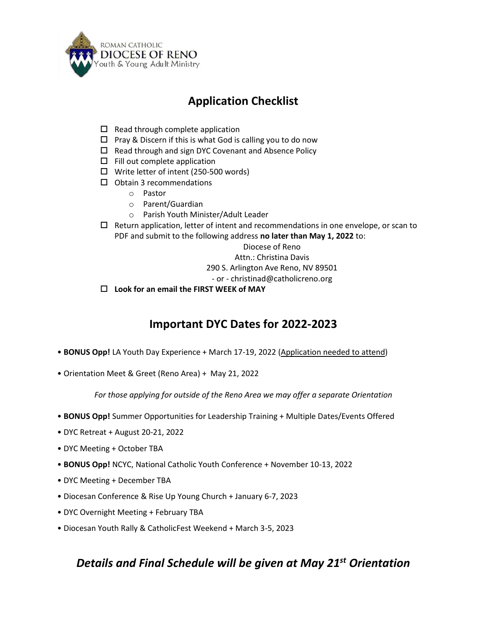

## **Application Checklist**

- $\Box$  Read through complete application
- $\Box$  Pray & Discern if this is what God is calling you to do now
- $\Box$  Read through and sign DYC Covenant and Absence Policy
- $\square$  Fill out complete application
- $\Box$  Write letter of intent (250-500 words)
- $\square$  Obtain 3 recommendations
	- o Pastor
	- o Parent/Guardian
	- o Parish Youth Minister/Adult Leader
- $\Box$  Return application, letter of intent and recommendations in one envelope, or scan to PDF and submit to the following address **no later than May 1, 2022** to:

Diocese of Reno

Attn.: Christina Davis

290 S. Arlington Ave Reno, NV 89501

- or christinad@catholicreno.org
- **Look for an email the FIRST WEEK of MAY**

## **Important DYC Dates for 2022-2023**

- **BONUS Opp!** LA Youth Day Experience + March 17-19, 2022 (Application needed to attend)
- Orientation Meet & Greet (Reno Area) + May 21, 2022

*For those applying for outside of the Reno Area we may offer a separate Orientation*

- **BONUS Opp!** Summer Opportunities for Leadership Training + Multiple Dates/Events Offered
- DYC Retreat + August 20-21, 2022
- DYC Meeting + October TBA
- **BONUS Opp!** NCYC, National Catholic Youth Conference + November 10-13, 2022
- DYC Meeting + December TBA
- Diocesan Conference & Rise Up Young Church + January 6-7, 2023
- DYC Overnight Meeting + February TBA
- Diocesan Youth Rally & CatholicFest Weekend + March 3-5, 2023

### *Details and Final Schedule will be given at May 21st Orientation*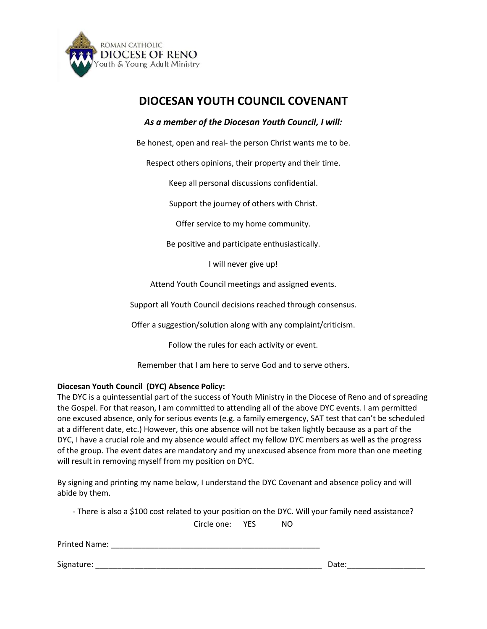

### **DIOCESAN YOUTH COUNCIL COVENANT**

### *As a member of the Diocesan Youth Council, I will:*

Be honest, open and real- the person Christ wants me to be.

Respect others opinions, their property and their time.

Keep all personal discussions confidential.

Support the journey of others with Christ.

Offer service to my home community.

Be positive and participate enthusiastically.

I will never give up!

Attend Youth Council meetings and assigned events.

Support all Youth Council decisions reached through consensus.

Offer a suggestion/solution along with any complaint/criticism.

Follow the rules for each activity or event.

Remember that I am here to serve God and to serve others.

#### **Diocesan Youth Council (DYC) Absence Policy:**

The DYC is a quintessential part of the success of Youth Ministry in the Diocese of Reno and of spreading the Gospel. For that reason, I am committed to attending all of the above DYC events. I am permitted one excused absence, only for serious events (e.g. a family emergency, SAT test that can't be scheduled at a different date, etc.) However, this one absence will not be taken lightly because as a part of the DYC, I have a crucial role and my absence would affect my fellow DYC members as well as the progress of the group. The event dates are mandatory and my unexcused absence from more than one meeting will result in removing myself from my position on DYC.

By signing and printing my name below, I understand the DYC Covenant and absence policy and will abide by them.

- There is also a \$100 cost related to your position on the DYC. Will your family need assistance? Circle one: YES NO

| Printed Name: |       |
|---------------|-------|
|               |       |
| Signature:    | Date: |
|               |       |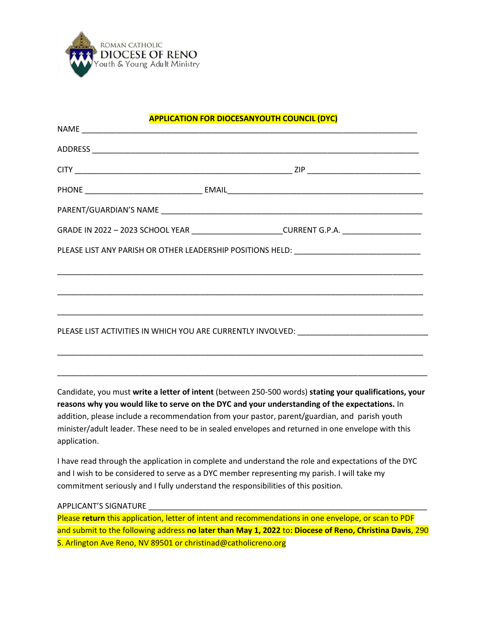

### **APPLICATION FOR DIOCESANYOUTH COUNCIL (DYC)**

|  | GRADE IN 2022 - 2023 SCHOOL YEAR _______________________CURRENT G.P.A. _________________                                                                                                            |
|--|-----------------------------------------------------------------------------------------------------------------------------------------------------------------------------------------------------|
|  | PLEASE LIST ANY PARISH OR OTHER LEADERSHIP POSITIONS HELD: ______________________                                                                                                                   |
|  |                                                                                                                                                                                                     |
|  | ,我们也不能在这里的时候,我们也不能在这里的时候,我们也不能不能不能不能不能不能不能不能不能不能。<br>第241章 我们的时候,我们的时候,我们的时候,我们的时候,我们的时候,我们的时候,我们的时候,我们的时候,我们的时候,我们的时候,我们的时候,我们的时候,我们                                                               |
|  |                                                                                                                                                                                                     |
|  | PLEASE LIST ACTIVITIES IN WHICH YOU ARE CURRENTLY INVOLVED: ____________________________                                                                                                            |
|  | <u> 1990 - Johann Stoff, amerikansk politiker (d. 1980)</u>                                                                                                                                         |
|  | ,我们也不能在这里的时候,我们也不能在这里的时候,我们也不能会在这里的时候,我们也不能会在这里的时候,我们也不能会在这里的时候,我们也不能会在这里的时候,我们也                                                                                                                    |
|  | Candidate, you must write a letter of intent (between 250-500 words) stating your qualifications, your                                                                                              |
|  | reasons why you would like to serve on the DYC and your understanding of the expectations. In                                                                                                       |
|  | addition, please include a recommendation from your pastor, parent/guardian, and parish youth<br>minister/adult leader. These need to be in sealed envelopes and returned in one envelope with this |

I have read through the application in complete and understand the role and expectations of the DYC and I wish to be considered to serve as a DYC member representing my parish. I will take my commitment seriously and I fully understand the responsibilities of this position.

#### APPLICANT'S SIGNATURE

application.

Please **return** this application, letter of intent and recommendations in one envelope, or scan to PDF and submit to the following address **no later than May 1, 2022** to**: Diocese of Reno, Christina Davis**, 290 S. Arlington Ave Reno, NV 89501 or christinad@catholicreno.org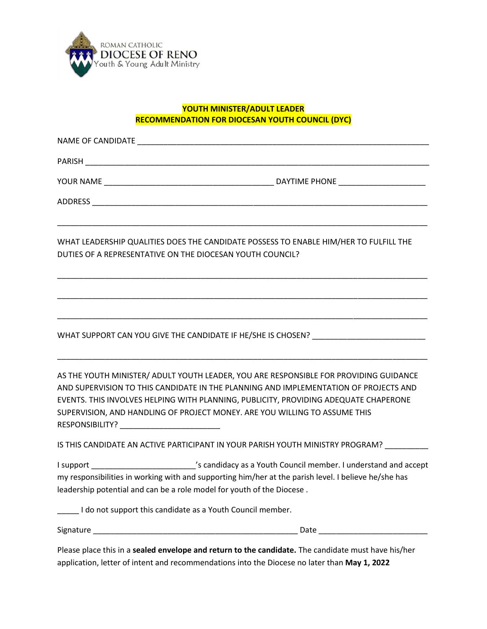

#### **YOUTH MINISTER/ADULT LEADER RECOMMENDATION FOR DIOCESAN YOUTH COUNCIL (DYC)**

|                                               | WHAT LEADERSHIP QUALITIES DOES THE CANDIDATE POSSESS TO ENABLE HIM/HER TO FULFILL THE<br>DUTIES OF A REPRESENTATIVE ON THE DIOCESAN YOUTH COUNCIL?                                                                                                                                                                                                  |
|-----------------------------------------------|-----------------------------------------------------------------------------------------------------------------------------------------------------------------------------------------------------------------------------------------------------------------------------------------------------------------------------------------------------|
|                                               |                                                                                                                                                                                                                                                                                                                                                     |
|                                               | WHAT SUPPORT CAN YOU GIVE THE CANDIDATE IF HE/SHE IS CHOSEN? ____________________                                                                                                                                                                                                                                                                   |
| RESPONSIBILITY? _____________________________ | AS THE YOUTH MINISTER/ ADULT YOUTH LEADER, YOU ARE RESPONSIBLE FOR PROVIDING GUIDANCE<br>AND SUPERVISION TO THIS CANDIDATE IN THE PLANNING AND IMPLEMENTATION OF PROJECTS AND<br>EVENTS. THIS INVOLVES HELPING WITH PLANNING, PUBLICITY, PROVIDING ADEQUATE CHAPERONE<br>SUPERVISION, AND HANDLING OF PROJECT MONEY. ARE YOU WILLING TO ASSUME THIS |
|                                               | IS THIS CANDIDATE AN ACTIVE PARTICIPANT IN YOUR PARISH YOUTH MINISTRY PROGRAM?                                                                                                                                                                                                                                                                      |
|                                               | I support ____________________________'s candidacy as a Youth Council member. I understand and accept<br>my responsibilities in working with and supporting him/her at the parish level. I believe he/she has<br>leadership potential and can be a role model for youth of the Diocese.                                                             |
|                                               | I do not support this candidate as a Youth Council member.                                                                                                                                                                                                                                                                                          |
|                                               |                                                                                                                                                                                                                                                                                                                                                     |
|                                               | Please place this in a sealed envelope and return to the candidate. The candidate must have his/her                                                                                                                                                                                                                                                 |

application, letter of intent and recommendations into the Diocese no later than **May 1, 2022**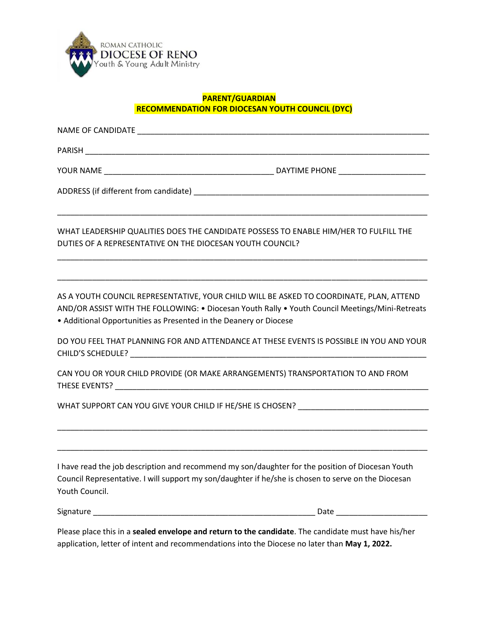

#### **PARENT/GUARDIAN RECOMMENDATION FOR DIOCESAN YOUTH COUNCIL (DYC)**

NAME OF CANDIDATE \_\_\_\_\_\_\_\_\_\_\_\_\_\_\_\_\_\_\_\_\_\_\_\_\_\_\_\_\_\_\_\_\_\_\_\_\_\_\_\_\_\_\_\_\_\_\_\_\_\_\_\_\_\_\_\_\_\_\_\_\_\_\_\_\_\_\_

PARISH \_\_\_\_\_\_\_\_\_\_\_\_\_\_\_\_\_\_\_\_\_\_\_\_\_\_\_\_\_\_\_\_\_\_\_\_\_\_\_\_\_\_\_\_\_\_\_\_\_\_\_\_\_\_\_\_\_\_\_\_\_\_\_\_\_\_\_\_\_\_\_\_\_\_\_\_\_\_\_

YOUR NAME THE RELATION OF THE PROPERTY OF THE PHONE AND A VIOLENCE AND LOCAL THE PHONE THE PHONE THE PHONE THE STATE OF THE STATE OF THE STATE OF THE STATE OF THE STATE OF THE STATE OF THE STATE OF THE STATE OF THE STATE O

ADDRESS (if different from candidate) \_\_\_\_\_\_\_\_\_\_\_\_\_\_\_\_\_\_\_\_\_\_\_\_\_\_\_\_\_\_\_\_\_\_\_\_\_\_\_\_\_\_\_\_\_\_\_\_\_\_\_\_\_\_

WHAT LEADERSHIP QUALITIES DOES THE CANDIDATE POSSESS TO ENABLE HIM/HER TO FULFILL THE DUTIES OF A REPRESENTATIVE ON THE DIOCESAN YOUTH COUNCIL?

\_\_\_\_\_\_\_\_\_\_\_\_\_\_\_\_\_\_\_\_\_\_\_\_\_\_\_\_\_\_\_\_\_\_\_\_\_\_\_\_\_\_\_\_\_\_\_\_\_\_\_\_\_\_\_\_\_\_\_\_\_\_\_\_\_\_\_\_\_\_\_\_\_\_\_\_\_\_\_\_\_\_\_\_\_

\_\_\_\_\_\_\_\_\_\_\_\_\_\_\_\_\_\_\_\_\_\_\_\_\_\_\_\_\_\_\_\_\_\_\_\_\_\_\_\_\_\_\_\_\_\_\_\_\_\_\_\_\_\_\_\_\_\_\_\_\_\_\_\_\_\_\_\_\_\_\_\_\_\_\_\_\_\_\_\_\_\_\_\_\_

\_\_\_\_\_\_\_\_\_\_\_\_\_\_\_\_\_\_\_\_\_\_\_\_\_\_\_\_\_\_\_\_\_\_\_\_\_\_\_\_\_\_\_\_\_\_\_\_\_\_\_\_\_\_\_\_\_\_\_\_\_\_\_\_\_\_\_\_\_\_\_\_\_\_\_\_\_\_\_\_\_\_\_\_\_

AS A YOUTH COUNCIL REPRESENTATIVE, YOUR CHILD WILL BE ASKED TO COORDINATE, PLAN, ATTEND AND/OR ASSIST WITH THE FOLLOWING: • Diocesan Youth Rally • Youth Council Meetings/Mini-Retreats • Additional Opportunities as Presented in the Deanery or Diocese

DO YOU FEEL THAT PLANNING FOR AND ATTENDANCE AT THESE EVENTS IS POSSIBLE IN YOU AND YOUR CHILD'S SCHEDULE? \_\_\_\_\_\_\_\_\_\_\_\_\_\_\_\_\_\_\_\_\_\_\_\_\_\_\_\_\_\_\_\_\_\_\_\_\_\_\_\_\_\_\_\_\_\_\_\_\_\_\_\_\_\_\_\_\_\_\_\_\_\_\_\_\_\_\_\_

\_\_\_\_\_\_\_\_\_\_\_\_\_\_\_\_\_\_\_\_\_\_\_\_\_\_\_\_\_\_\_\_\_\_\_\_\_\_\_\_\_\_\_\_\_\_\_\_\_\_\_\_\_\_\_\_\_\_\_\_\_\_\_\_\_\_\_\_\_\_\_\_\_\_\_\_\_\_\_\_\_\_\_\_\_

\_\_\_\_\_\_\_\_\_\_\_\_\_\_\_\_\_\_\_\_\_\_\_\_\_\_\_\_\_\_\_\_\_\_\_\_\_\_\_\_\_\_\_\_\_\_\_\_\_\_\_\_\_\_\_\_\_\_\_\_\_\_\_\_\_\_\_\_\_\_\_\_\_\_\_\_\_\_\_\_\_\_\_\_\_

CAN YOU OR YOUR CHILD PROVIDE (OR MAKE ARRANGEMENTS) TRANSPORTATION TO AND FROM THESE EVENTS? \_\_\_\_\_\_\_\_\_\_\_\_\_\_\_\_\_\_\_\_\_\_\_\_\_\_\_\_\_\_\_\_\_\_\_\_\_\_\_\_\_\_\_\_\_\_\_\_\_\_\_\_\_\_\_\_\_\_\_\_\_\_\_\_\_\_\_\_\_\_\_\_

WHAT SUPPORT CAN YOU GIVE YOUR CHILD IF HE/SHE IS CHOSEN?

I have read the job description and recommend my son/daughter for the position of Diocesan Youth Council Representative. I will support my son/daughter if he/she is chosen to serve on the Diocesan Youth Council.

Signature \_\_\_\_\_\_\_\_\_\_\_\_\_\_\_\_\_\_\_\_\_\_\_\_\_\_\_\_\_\_\_\_\_\_\_\_\_\_\_\_\_\_\_\_\_\_\_\_\_\_\_ Date \_\_\_\_\_\_\_\_\_\_\_\_\_\_\_\_\_\_\_\_\_

Please place this in a **sealed envelope and return to the candidate**. The candidate must have his/her application, letter of intent and recommendations into the Diocese no later than **May 1, 2022.**